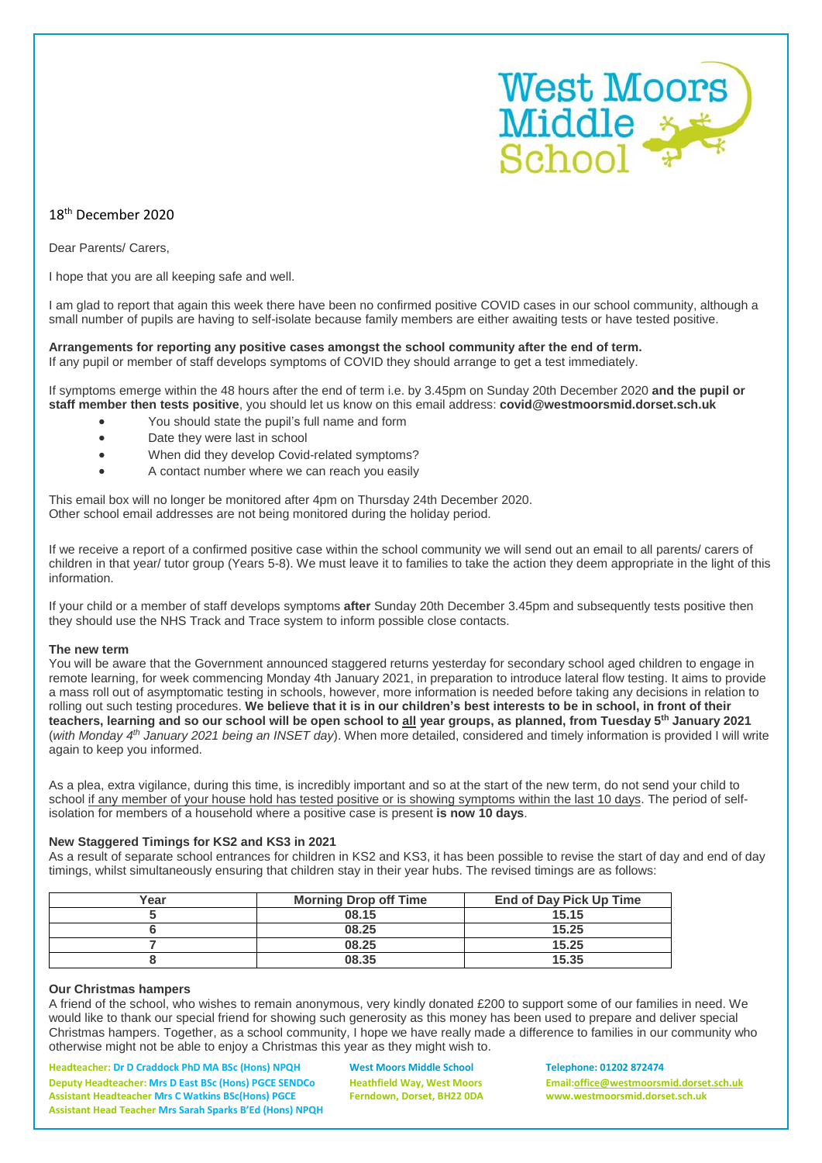

# 18th December 2020

Dear Parents/ Carers,

I hope that you are all keeping safe and well.

I am glad to report that again this week there have been no confirmed positive COVID cases in our school community, although a small number of pupils are having to self-isolate because family members are either awaiting tests or have tested positive.

### **Arrangements for reporting any positive cases amongst the school community after the end of term.** If any pupil or member of staff develops symptoms of COVID they should arrange to get a test immediately.

If symptoms emerge within the 48 hours after the end of term i.e. by 3.45pm on Sunday 20th December 2020 **and the pupil or staff member then tests positive**, you should let us know on this email address: **covid@westmoorsmid.dorset.sch.uk**

- You should state the pupil's full name and form
- Date they were last in school
- When did they develop Covid-related symptoms?
- A contact number where we can reach you easily

This email box will no longer be monitored after 4pm on Thursday 24th December 2020. Other school email addresses are not being monitored during the holiday period.

If we receive a report of a confirmed positive case within the school community we will send out an email to all parents/ carers of children in that year/ tutor group (Years 5-8). We must leave it to families to take the action they deem appropriate in the light of this information.

If your child or a member of staff develops symptoms **after** Sunday 20th December 3.45pm and subsequently tests positive then they should use the NHS Track and Trace system to inform possible close contacts.

# **The new term**

You will be aware that the Government announced staggered returns vesterday for secondary school aged children to engage in remote learning, for week commencing Monday 4th January 2021, in preparation to introduce lateral flow testing. It aims to provide a mass roll out of asymptomatic testing in schools, however, more information is needed before taking any decisions in relation to rolling out such testing procedures. We believe that it is in our children's best interests to be in school. in front of their teachers, learning and so our school will be open school to <u>all</u> year groups, as planned, from Tuesday 5<sup>th</sup> January 2021 (*with Monday 4 th January 2021 being an INSET day*). When more detailed, considered and timely information is provided I will write again to keep you informed.

As a plea, extra vigilance, during this time, is incredibly important and so at the start of the new term, do not send your child to school if any member of your house hold has tested positive or is showing symptoms within the last 10 days. The period of selfisolation for members of a household where a positive case is present **is now 10 days**.

# **New Staggered Timings for KS2 and KS3 in 2021**

As a result of separate school entrances for children in KS2 and KS3, it has been possible to revise the start of day and end of day timings, whilst simultaneously ensuring that children stay in their year hubs. The revised timings are as follows:

| Year | <b>Morning Drop off Time</b> | End of Day Pick Up Time |
|------|------------------------------|-------------------------|
|      | 08.15                        | 15.15                   |
|      | 08.25                        | 15.25                   |
|      | 08.25                        | 15.25                   |
|      | 08.35                        | 15.35                   |

# **Our Christmas hampers**

A friend of the school, who wishes to remain anonymous, very kindly donated £200 to support some of our families in need. We would like to thank our special friend for showing such generosity as this money has been used to prepare and deliver special Christmas hampers. Together, as a school community, I hope we have really made a difference to families in our community who otherwise might not be able to enjoy a Christmas this year as they might wish to.

**Headteacher: Dr D Craddock PhD MA BSc (Hons) NPQH West Moors Middle School Telephone: 01202 872474 Deputy Headteacher: Mrs D East BSc (Hons) PGCE SENDCo Heathfield Way, West Moors Email[:office@westmoorsmid.dorset.sch.uk](mailto:office@westmoorsmid.dorset.sch.uk) Assistant Headteacher Mrs C Watkins BSc(Hons) PGCE Ferndown, Dorset, BH22 0DA www.westmoorsmid.dorset.sch.uk Assistant Head Teacher Mrs Sarah Sparks B'Ed (Hons) NPQH**